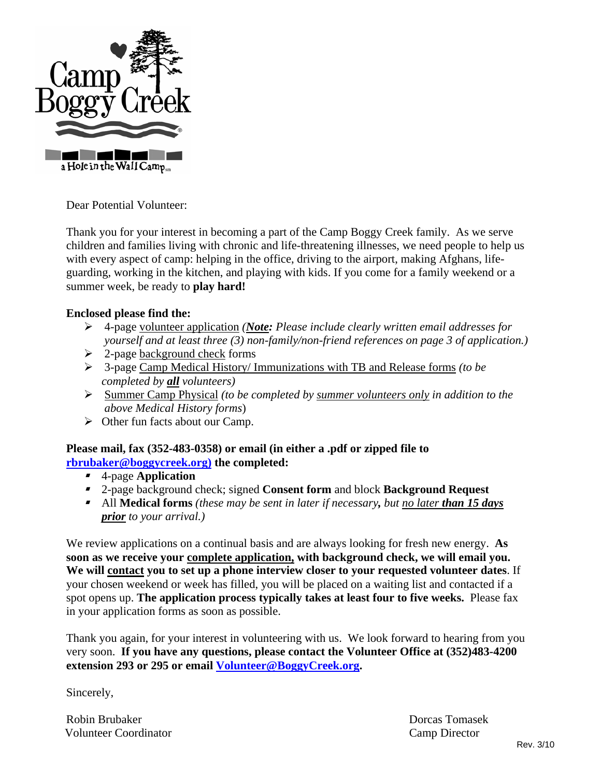

Dear Potential Volunteer:

Thank you for your interest in becoming a part of the Camp Boggy Creek family. As we serve children and families living with chronic and life-threatening illnesses, we need people to help us with every aspect of camp: helping in the office, driving to the airport, making Afghans, lifeguarding, working in the kitchen, and playing with kids. If you come for a family weekend or a summer week, be ready to **play hard!**

## **Enclosed please find the:**

- ¾ 4-page volunteer application *(Note: Please include clearly written email addresses for yourself and at least three (3) non-family/non-friend references on page 3 of application.)*
- $\geq$  2-page background check forms
- ¾ 3-page Camp Medical History/ Immunizations with TB and Release forms *(to be completed by all volunteers)*
- ¾ Summer Camp Physical *(to be completed by summer volunteers only in addition to the above Medical History forms*)
- $\triangleright$  Other fun facts about our Camp.

### **Please mail, fax (352-483-0358) or email (in either a .pdf or zipped file to rbrubaker@boggycreek.org) the completed:**

- 4-page **Application**
- 2-page background check; signed **Consent form** and block **Background Request**
- All **Medical forms** *(these may be sent in later if necessary, but no later than 15 days prior to your arrival.)*

We review applications on a continual basis and are always looking for fresh new energy. **As soon as we receive your complete application, with background check, we will email you. We will contact you to set up a phone interview closer to your requested volunteer dates**. If your chosen weekend or week has filled, you will be placed on a waiting list and contacted if a spot opens up. **The application process typically takes at least four to five weeks.** Please fax in your application forms as soon as possible.

Thank you again, for your interest in volunteering with us. We look forward to hearing from you very soon. **If you have any questions, please contact the Volunteer Office at (352)483-4200 extension 293 or 295 or email Volunteer@BoggyCreek.org.** 

Sincerely,

Robin Brubaker Dorcas Tomasek Volunteer Coordinator Camp Director Camp Director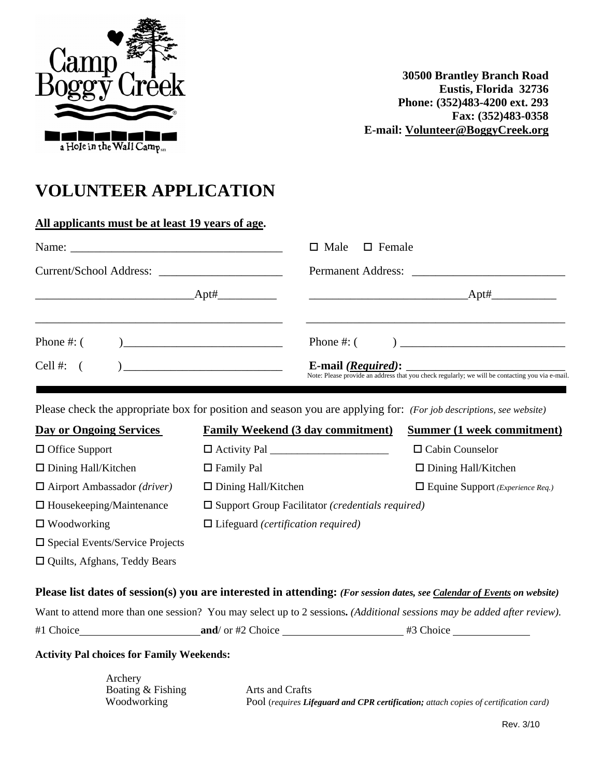

## **VOLUNTEER APPLICATION**

#### **All applicants must be at least 19 years of age.**

|                |                                                                                                                                                                                                                                                                                                                                                                     | $\Box$ Male $\Box$ Female                                                                       |
|----------------|---------------------------------------------------------------------------------------------------------------------------------------------------------------------------------------------------------------------------------------------------------------------------------------------------------------------------------------------------------------------|-------------------------------------------------------------------------------------------------|
|                |                                                                                                                                                                                                                                                                                                                                                                     |                                                                                                 |
|                |                                                                                                                                                                                                                                                                                                                                                                     |                                                                                                 |
| Phone $\#$ : ( | $\begin{picture}(20,10) \put(0,0){\vector(1,0){100}} \put(15,0){\vector(1,0){100}} \put(15,0){\vector(1,0){100}} \put(15,0){\vector(1,0){100}} \put(15,0){\vector(1,0){100}} \put(15,0){\vector(1,0){100}} \put(15,0){\vector(1,0){100}} \put(15,0){\vector(1,0){100}} \put(15,0){\vector(1,0){100}} \put(15,0){\vector(1,0){100}} \put(15,0){\vector(1,0){100}} \$ |                                                                                                 |
| Cell #: $($    |                                                                                                                                                                                                                                                                                                                                                                     | Note: Please provide an address that you check regularly; we will be contacting you via e-mail. |

Please check the appropriate box for position and season you are applying for: *(For job descriptions, see website)*

| <b>Day or Ongoing Services</b>                   | <b>Family Weekend (3 day commitment)</b>                                                                                | Summer (1 week commitment)                       |
|--------------------------------------------------|-------------------------------------------------------------------------------------------------------------------------|--------------------------------------------------|
| $\Box$ Office Support                            | $\Box$ Activity Pal $\Box$                                                                                              | $\Box$ Cabin Counselor                           |
| $\Box$ Dining Hall/Kitchen                       | $\Box$ Family Pal                                                                                                       | $\Box$ Dining Hall/Kitchen                       |
| $\Box$ Airport Ambassador ( <i>driver</i> )      | $\Box$ Dining Hall/Kitchen                                                                                              | $\Box$ Equine Support ( <i>Experience Req.</i> ) |
| $\Box$ Housekeeping/Maintenance                  | $\Box$ Support Group Facilitator (credentials required)                                                                 |                                                  |
| $\Box$ Woodworking                               | $\Box$ Lifeguard (certification required)                                                                               |                                                  |
| $\square$ Special Events/Service Projects        |                                                                                                                         |                                                  |
| $\Box$ Quilts, Afghans, Teddy Bears              |                                                                                                                         |                                                  |
|                                                  | Please list dates of session(s) you are interested in attending: (For session dates, see Calendar of Events on website) |                                                  |
|                                                  | Want to attend more than one session? You may select up to 2 sessions. (Additional sessions may be added after review). |                                                  |
|                                                  | #1 Choice <b>and</b> / or #2 Choice <b>#3 Choice #3 Choice</b>                                                          |                                                  |
| <b>Activity Pal choices for Family Weekends:</b> |                                                                                                                         |                                                  |
| Archery<br>Boating & Fishing<br>Woodworking      | Arts and Crafts<br>Pool (requires Lifeguard and CPR certification; attach copies of certification card)                 |                                                  |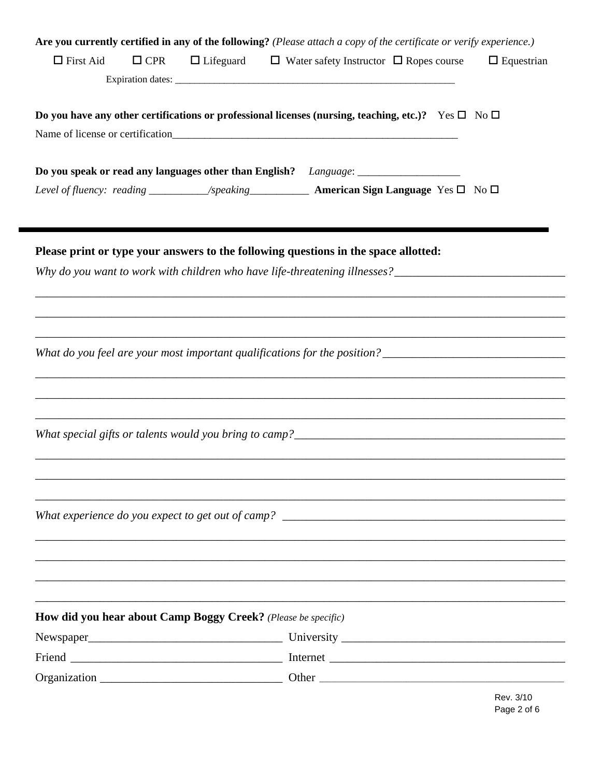| Are you currently certified in any of the following? (Please attach a copy of the certificate or verify experience.)<br>$\Box$ First Aid<br>$\Box$ CPR | $\Box$ Lifeguard $\Box$ Water safety Instructor $\Box$ Ropes course               | $\Box$ Equestrian |
|--------------------------------------------------------------------------------------------------------------------------------------------------------|-----------------------------------------------------------------------------------|-------------------|
| Do you have any other certifications or professional licenses (nursing, teaching, etc.)? Yes $\square$ No $\square$                                    |                                                                                   |                   |
|                                                                                                                                                        |                                                                                   |                   |
| Do you speak or read any languages other than English? Language: ________________                                                                      |                                                                                   |                   |
| Level of fluency: reading ________/speaking______________ American Sign Language Yes □ No □                                                            |                                                                                   |                   |
| Please print or type your answers to the following questions in the space allotted:                                                                    |                                                                                   |                   |
|                                                                                                                                                        | ,我们也不能在这里的,我们也不能在这里的,我们也不能不能不能不能不能不能不能不能不能不能不能不能不能不能。""我们的人们也不能不能不能不能不能不能不能不能不能不能 |                   |
|                                                                                                                                                        |                                                                                   |                   |
|                                                                                                                                                        |                                                                                   |                   |
|                                                                                                                                                        |                                                                                   |                   |
| How did you hear about Camp Boggy Creek? (Please be specific)                                                                                          |                                                                                   |                   |
|                                                                                                                                                        |                                                                                   |                   |
|                                                                                                                                                        |                                                                                   |                   |
|                                                                                                                                                        |                                                                                   |                   |

Page 2 of 6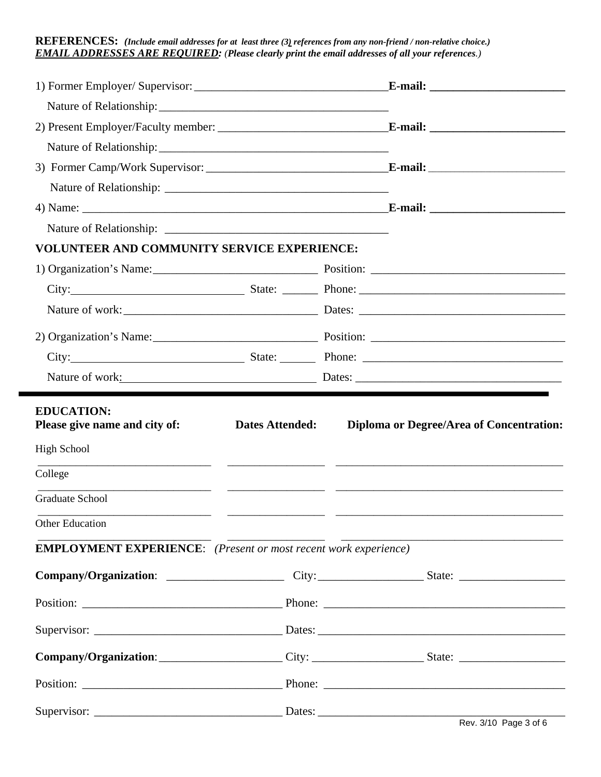**REFERENCES:** *(Include email addresses for at least three (3) references from any non-friend / non-relative choice.) EMAIL ADDRESSES ARE REQUIRED: (Please clearly print the email addresses of all your references.)*

| <b>VOLUNTEER AND COMMUNITY SERVICE EXPERIENCE:</b>                                  |                        |                                                                                                                                                                                                                               |
|-------------------------------------------------------------------------------------|------------------------|-------------------------------------------------------------------------------------------------------------------------------------------------------------------------------------------------------------------------------|
|                                                                                     |                        |                                                                                                                                                                                                                               |
|                                                                                     |                        |                                                                                                                                                                                                                               |
|                                                                                     |                        |                                                                                                                                                                                                                               |
|                                                                                     |                        | 2) Organization's Name: 2000 Position: 2000 Position: 2000 Position: 2000 Position: 2000 Position: 2000 Position:                                                                                                             |
|                                                                                     |                        | City: 2008. [2013] City: 2014. [2013] State: 2014. [2014] Phone: 2014. [2014] Phone: 2014. [2014] Phone: 2014. [2014] 2014. [2014] 2014. [2014] 2014. [2014] 2014. [2014] 2014. [2014] 2014. [2014] 2014. [2014] 2014. [2014] |
|                                                                                     |                        | Nature of work: Dates: Dates: 2008.                                                                                                                                                                                           |
| <b>EDUCATION:</b><br>Please give name and city of:<br><b>High School</b><br>College | <b>Dates Attended:</b> | Diploma or Degree/Area of Concentration:                                                                                                                                                                                      |
| <b>Graduate School</b>                                                              |                        |                                                                                                                                                                                                                               |
| <b>Other Education</b>                                                              |                        |                                                                                                                                                                                                                               |
| <b>EMPLOYMENT EXPERIENCE:</b> (Present or most recent work experience)              |                        |                                                                                                                                                                                                                               |
|                                                                                     |                        |                                                                                                                                                                                                                               |
|                                                                                     |                        |                                                                                                                                                                                                                               |
|                                                                                     |                        |                                                                                                                                                                                                                               |
|                                                                                     |                        | Company/Organization: City: City: State: City: State: City: City: City: Company/Organization:                                                                                                                                 |
|                                                                                     |                        |                                                                                                                                                                                                                               |
|                                                                                     |                        |                                                                                                                                                                                                                               |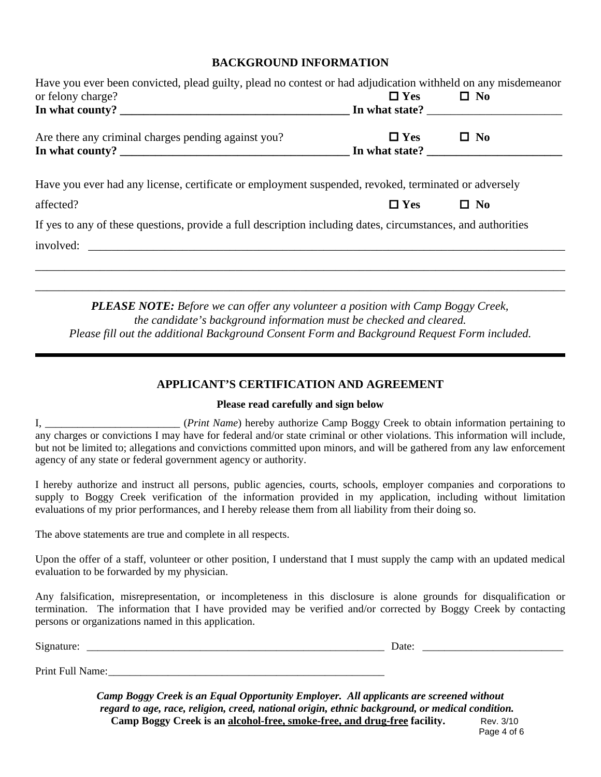#### **BACKGROUND INFORMATION**

| Have you ever been convicted, plead guilty, plead no contest or had adjudication withheld on any misdemeanor |            |           |
|--------------------------------------------------------------------------------------------------------------|------------|-----------|
| or felony charge?                                                                                            | $\Box$ Yes | $\Box$ No |
| In what county? The what state?                                                                              |            |           |
| Are there any criminal charges pending against you?                                                          | $\Box$ Yes | $\Box$ No |
|                                                                                                              |            |           |
| Have you ever had any license, certificate or employment suspended, revoked, terminated or adversely         |            |           |
| affected?                                                                                                    | $\Box$ Yes | $\Box$ No |
| If yes to any of these questions, provide a full description including dates, circumstances, and authorities |            |           |
|                                                                                                              |            |           |
|                                                                                                              |            |           |
|                                                                                                              |            |           |
|                                                                                                              |            |           |

*PLEASE NOTE: Before we can offer any volunteer a position with Camp Boggy Creek, the candidate's background information must be checked and cleared. Please fill out the additional Background Consent Form and Background Request Form included.* 

#### **APPLICANT'S CERTIFICATION AND AGREEMENT**

#### **Please read carefully and sign below**

I, \_\_\_\_\_\_\_\_\_\_\_\_\_\_\_\_\_\_\_\_\_\_\_\_\_ (*Print Name*) hereby authorize Camp Boggy Creek to obtain information pertaining to any charges or convictions I may have for federal and/or state criminal or other violations. This information will include, but not be limited to; allegations and convictions committed upon minors, and will be gathered from any law enforcement agency of any state or federal government agency or authority.

I hereby authorize and instruct all persons, public agencies, courts, schools, employer companies and corporations to supply to Boggy Creek verification of the information provided in my application, including without limitation evaluations of my prior performances, and I hereby release them from all liability from their doing so.

The above statements are true and complete in all respects.

Upon the offer of a staff, volunteer or other position, I understand that I must supply the camp with an updated medical evaluation to be forwarded by my physician.

Any falsification, misrepresentation, or incompleteness in this disclosure is alone grounds for disqualification or termination. The information that I have provided may be verified and/or corrected by Boggy Creek by contacting persons or organizations named in this application.

Signature: \_\_\_\_\_\_\_\_\_\_\_\_\_\_\_\_\_\_\_\_\_\_\_\_\_\_\_\_\_\_\_\_\_\_\_\_\_\_\_\_\_\_\_\_\_\_\_\_\_\_\_\_\_\_\_ Date: \_\_\_\_\_\_\_\_\_\_\_\_\_\_\_\_\_\_\_\_\_\_\_\_\_\_

Print Full Name: Unit of the Second Second Second Second Second Second Second Second Second Second Second Second Second Second Second Second Second Second Second Second Second Second Second Second Second Second Second Seco

*Camp Boggy Creek is an Equal Opportunity Employer. All applicants are screened without regard to age, race, religion, creed, national origin, ethnic background, or medical condition.* **Camp Boggy Creek is an alcohol-free, smoke-free, and drug-free facility.** Rev. 3/10 Page 4 of 6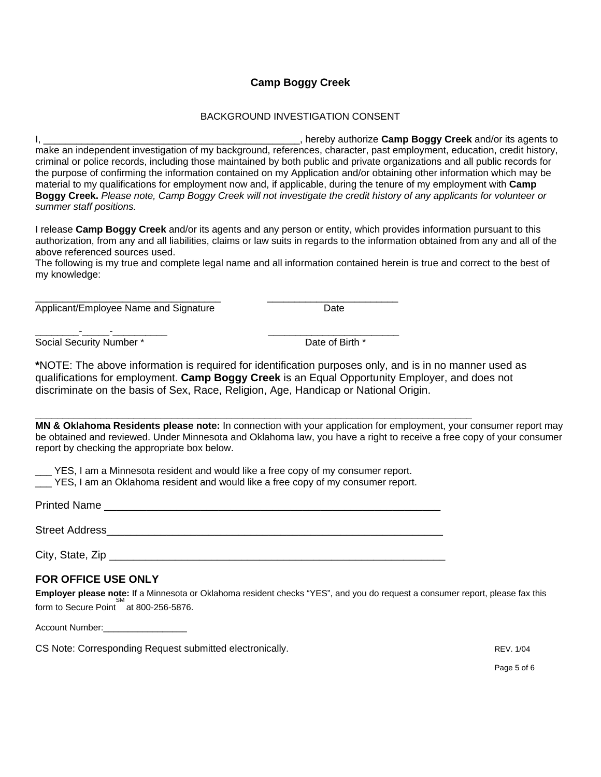#### **Camp Boggy Creek**

#### BACKGROUND INVESTIGATION CONSENT

I, \_\_\_\_\_\_\_\_\_\_\_\_\_\_\_\_\_\_\_\_\_\_\_\_\_\_\_\_\_\_\_\_\_\_\_\_\_\_\_\_\_\_\_\_\_\_\_, hereby authorize **Camp Boggy Creek** and/or its agents to make an independent investigation of my background, references, character, past employment, education, credit history, criminal or police records, including those maintained by both public and private organizations and all public records for the purpose of confirming the information contained on my Application and/or obtaining other information which may be material to my qualifications for employment now and, if applicable, during the tenure of my employment with **Camp Boggy Creek.** *Please note, Camp Boggy Creek will not investigate the credit history of any applicants for volunteer or summer staff positions.* 

I release **Camp Boggy Creek** and/or its agents and any person or entity, which provides information pursuant to this authorization, from any and all liabilities, claims or law suits in regards to the information obtained from any and all of the above referenced sources used.

The following is my true and complete legal name and all information contained herein is true and correct to the best of my knowledge:

Applicant/Employee Name and Signature Date Date

\_\_\_\_\_\_\_\_-\_\_\_\_\_-\_\_\_\_\_\_\_\_\_\_ \_\_\_\_\_\_\_\_\_\_\_\_\_\_\_\_\_\_\_\_\_\_\_\_ Social Security Number \* The Date of Birth \*

**\***NOTE: The above information is required for identification purposes only, and is in no manner used as qualifications for employment. **Camp Boggy Creek** is an Equal Opportunity Employer, and does not discriminate on the basis of Sex, Race, Religion, Age, Handicap or National Origin.

**\_\_\_\_\_\_\_\_\_\_\_\_\_\_\_\_\_\_\_\_\_\_\_\_\_\_\_\_\_\_\_\_\_\_\_\_\_\_\_\_\_\_\_\_\_\_\_\_\_\_\_\_\_\_\_\_\_\_\_\_\_\_\_\_\_\_\_\_\_\_\_\_\_\_\_\_\_\_\_\_** 

**MN & Oklahoma Residents please note:** In connection with your application for employment, your consumer report may be obtained and reviewed. Under Minnesota and Oklahoma law, you have a right to receive a free copy of your consumer report by checking the appropriate box below.

YES, I am a Minnesota resident and would like a free copy of my consumer report.

\_\_\_\_\_\_\_\_\_\_\_\_\_\_\_\_\_\_\_\_\_\_\_\_\_\_\_\_\_\_\_\_\_\_ \_\_\_\_\_\_\_\_\_\_\_\_\_\_\_\_\_\_\_\_\_\_\_\_

YES, I am an Oklahoma resident and would like a free copy of my consumer report.

Street Address

Printed Name **Example 20** and the set of the set of the set of the set of the set of the set of the set of the set of the set of the set of the set of the set of the set of the set of the set of the set of the set of the s

City, State, Zip Quantum and the state of the state of the state of the state of the state of the state of the state of the state of the state of the state of the state of the state of the state of the state of the state o

#### **FOR OFFICE USE ONLY**

**Employer please note:** If a Minnesota or Oklahoma resident checks "YES", and you do request a consumer report, please fax this form to Secure Point SM at 800-256-5876.

Account Number:

CS Note: Corresponding Request submitted electronically. The matrix of the corresponding Rev. 1/04

Page 5 of 6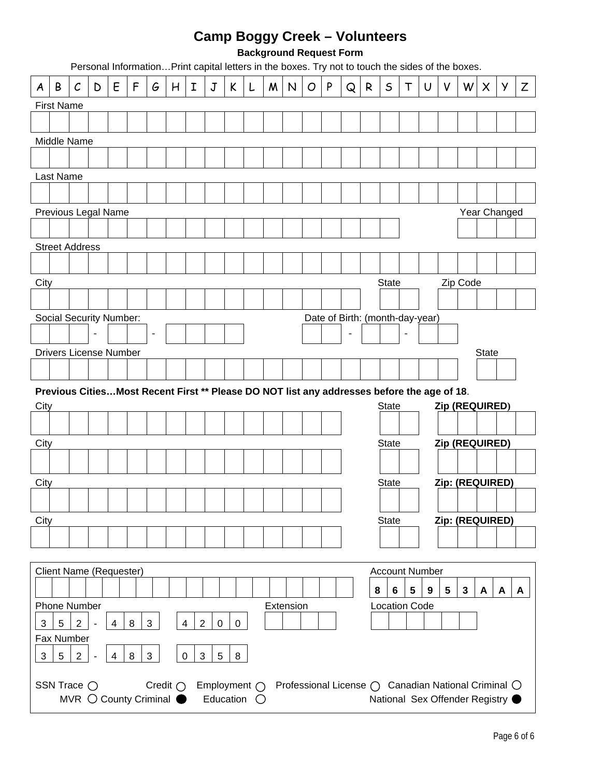## **Camp Boggy Creek – Volunteers**

**Background Request Form** 

|                           |                   |                                                                                             |                |                |         |                          |                  | Personal InformationPrint capital letters in the boxes. Try not to touch the sides of the boxes. |                           |   |   |   |           |   |   |   |           |                                 |        |   |   |                                                      |              |              |   |
|---------------------------|-------------------|---------------------------------------------------------------------------------------------|----------------|----------------|---------|--------------------------|------------------|--------------------------------------------------------------------------------------------------|---------------------------|---|---|---|-----------|---|---|---|-----------|---------------------------------|--------|---|---|------------------------------------------------------|--------------|--------------|---|
| A                         | B                 | $\mathcal{C}$                                                                               | D              | E              | F       | G                        | H                | $\mathbf I$                                                                                      | $\ensuremath{\mathsf{J}}$ | K | L | W | ${\sf N}$ | O | P | Q | ${\sf R}$ | $\sf S$                         | $\top$ | U | V | W                                                    | $\times$     | У            | Z |
|                           | <b>First Name</b> |                                                                                             |                |                |         |                          |                  |                                                                                                  |                           |   |   |   |           |   |   |   |           |                                 |        |   |   |                                                      |              |              |   |
|                           |                   |                                                                                             |                |                |         |                          |                  |                                                                                                  |                           |   |   |   |           |   |   |   |           |                                 |        |   |   |                                                      |              |              |   |
|                           |                   | Middle Name                                                                                 |                |                |         |                          |                  |                                                                                                  |                           |   |   |   |           |   |   |   |           |                                 |        |   |   |                                                      |              |              |   |
|                           |                   |                                                                                             |                |                |         |                          |                  |                                                                                                  |                           |   |   |   |           |   |   |   |           |                                 |        |   |   |                                                      |              |              |   |
|                           | Last Name         |                                                                                             |                |                |         |                          |                  |                                                                                                  |                           |   |   |   |           |   |   |   |           |                                 |        |   |   |                                                      |              |              |   |
|                           |                   |                                                                                             |                |                |         |                          |                  |                                                                                                  |                           |   |   |   |           |   |   |   |           |                                 |        |   |   |                                                      |              |              |   |
|                           |                   | Previous Legal Name                                                                         |                |                |         |                          |                  |                                                                                                  |                           |   |   |   |           |   |   |   |           |                                 |        |   |   |                                                      |              | Year Changed |   |
|                           |                   |                                                                                             |                |                |         |                          |                  |                                                                                                  |                           |   |   |   |           |   |   |   |           |                                 |        |   |   |                                                      |              |              |   |
|                           |                   | <b>Street Address</b>                                                                       |                |                |         |                          |                  |                                                                                                  |                           |   |   |   |           |   |   |   |           |                                 |        |   |   |                                                      |              |              |   |
|                           |                   |                                                                                             |                |                |         |                          |                  |                                                                                                  |                           |   |   |   |           |   |   |   |           |                                 |        |   |   |                                                      |              |              |   |
| City                      |                   |                                                                                             |                |                |         |                          |                  |                                                                                                  |                           |   |   |   |           |   |   |   |           | <b>State</b>                    |        |   |   | Zip Code                                             |              |              |   |
|                           |                   |                                                                                             |                |                |         |                          |                  |                                                                                                  |                           |   |   |   |           |   |   |   |           |                                 |        |   |   |                                                      |              |              |   |
|                           |                   | Social Security Number:                                                                     |                |                |         |                          |                  |                                                                                                  |                           |   |   |   |           |   |   |   |           | Date of Birth: (month-day-year) |        |   |   |                                                      |              |              |   |
|                           |                   |                                                                                             |                |                |         | $\overline{\phantom{a}}$ |                  |                                                                                                  |                           |   |   |   |           |   |   |   |           |                                 |        |   |   |                                                      |              |              |   |
|                           |                   | <b>Drivers License Number</b>                                                               |                |                |         |                          |                  |                                                                                                  |                           |   |   |   |           |   |   |   |           |                                 |        |   |   |                                                      | <b>State</b> |              |   |
|                           |                   |                                                                                             |                |                |         |                          |                  |                                                                                                  |                           |   |   |   |           |   |   |   |           |                                 |        |   |   |                                                      |              |              |   |
|                           |                   |                                                                                             |                |                |         |                          |                  |                                                                                                  |                           |   |   |   |           |   |   |   |           |                                 |        |   |   |                                                      |              |              |   |
|                           |                   | Previous Cities Most Recent First ** Please DO NOT list any addresses before the age of 18. |                |                |         |                          |                  |                                                                                                  |                           |   |   |   |           |   |   |   |           |                                 |        |   |   |                                                      |              |              |   |
| City                      |                   |                                                                                             |                |                |         |                          |                  |                                                                                                  |                           |   |   |   |           |   |   |   |           | <b>State</b>                    |        |   |   | Zip (REQUIRED)                                       |              |              |   |
|                           |                   |                                                                                             |                |                |         |                          |                  |                                                                                                  |                           |   |   |   |           |   |   |   |           |                                 |        |   |   |                                                      |              |              |   |
| City                      |                   |                                                                                             |                |                |         |                          |                  |                                                                                                  |                           |   |   |   |           |   |   |   |           | <b>State</b>                    |        |   |   | Zip (REQUIRED)                                       |              |              |   |
|                           |                   |                                                                                             |                |                |         |                          |                  |                                                                                                  |                           |   |   |   |           |   |   |   |           |                                 |        |   |   |                                                      |              |              |   |
|                           |                   |                                                                                             |                |                |         |                          |                  |                                                                                                  |                           |   |   |   |           |   |   |   |           |                                 |        |   |   |                                                      |              |              |   |
| City                      |                   |                                                                                             |                |                |         |                          |                  |                                                                                                  |                           |   |   |   |           |   |   |   |           | <b>State</b>                    |        |   |   | Zip: (REQUIRED)                                      |              |              |   |
|                           |                   |                                                                                             |                |                |         |                          |                  |                                                                                                  |                           |   |   |   |           |   |   |   |           |                                 |        |   |   |                                                      |              |              |   |
| City                      |                   |                                                                                             |                |                |         |                          |                  |                                                                                                  |                           |   |   |   |           |   |   |   |           | <b>State</b>                    |        |   |   | Zip: (REQUIRED)                                      |              |              |   |
|                           |                   |                                                                                             |                |                |         |                          |                  |                                                                                                  |                           |   |   |   |           |   |   |   |           |                                 |        |   |   |                                                      |              |              |   |
|                           |                   |                                                                                             |                |                |         |                          |                  |                                                                                                  |                           |   |   |   |           |   |   |   |           | <b>Account Number</b>           |        |   |   |                                                      |              |              |   |
|                           |                   | <b>Client Name (Requester)</b>                                                              |                |                |         |                          |                  |                                                                                                  |                           |   |   |   |           |   |   |   |           |                                 |        | 9 |   |                                                      |              |              |   |
|                           |                   | <b>Phone Number</b>                                                                         |                |                |         |                          |                  |                                                                                                  |                           |   |   |   | Extension |   |   |   | 8         | 6<br><b>Location Code</b>       | 5      |   | 5 | $\mathbf{3}$                                         | A            | $\mathbf{A}$ | A |
| $\ensuremath{\mathsf{3}}$ | 5                 | $\overline{c}$                                                                              |                | $\overline{4}$ | $\bf 8$ | $\mathbf{3}$             |                  | $\sqrt{2}$<br>4                                                                                  | 0                         | 0 |   |   |           |   |   |   |           |                                 |        |   |   |                                                      |              |              |   |
|                           |                   | Fax Number                                                                                  |                |                |         |                          |                  |                                                                                                  |                           |   |   |   |           |   |   |   |           |                                 |        |   |   |                                                      |              |              |   |
| $\sqrt{3}$                | 5                 | 2                                                                                           | $\blacksquare$ | $\overline{4}$ | $\, 8$  | 3                        |                  | $\sqrt{3}$<br>$\mathbf 0$                                                                        | $\overline{5}$            | 8 |   |   |           |   |   |   |           |                                 |        |   |   |                                                      |              |              |   |
|                           |                   | SSN Trace ○                                                                                 |                |                |         |                          | Credit $\bigcap$ |                                                                                                  | Employment $\bigcap$      |   |   |   |           |   |   |   |           |                                 |        |   |   | Professional License () Canadian National Criminal O |              |              |   |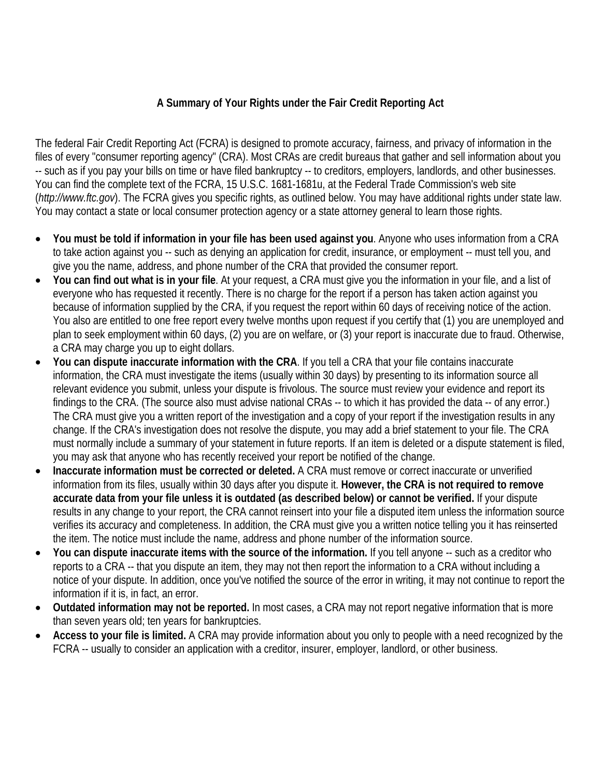## **A Summary of Your Rights under the Fair Credit Reporting Act**

The federal Fair Credit Reporting Act (FCRA) is designed to promote accuracy, fairness, and privacy of information in the files of every "consumer reporting agency" (CRA). Most CRAs are credit bureaus that gather and sell information about you -- such as if you pay your bills on time or have filed bankruptcy -- to creditors, employers, landlords, and other businesses. You can find the complete text of the FCRA, 15 U.S.C. 1681-1681u, at the Federal Trade Commission's web site (*http://www.ftc.gov*). The FCRA gives you specific rights, as outlined below. You may have additional rights under state law. You may contact a state or local consumer protection agency or a state attorney general to learn those rights.

- **You must be told if information in your file has been used against you**. Anyone who uses information from a CRA to take action against you -- such as denying an application for credit, insurance, or employment -- must tell you, and give you the name, address, and phone number of the CRA that provided the consumer report.
- **You can find out what is in your file**. At your request, a CRA must give you the information in your file, and a list of everyone who has requested it recently. There is no charge for the report if a person has taken action against you because of information supplied by the CRA, if you request the report within 60 days of receiving notice of the action. You also are entitled to one free report every twelve months upon request if you certify that (1) you are unemployed and plan to seek employment within 60 days, (2) you are on welfare, or (3) your report is inaccurate due to fraud. Otherwise, a CRA may charge you up to eight dollars.
- **You can dispute inaccurate information with the CRA**. If you tell a CRA that your file contains inaccurate information, the CRA must investigate the items (usually within 30 days) by presenting to its information source all relevant evidence you submit, unless your dispute is frivolous. The source must review your evidence and report its findings to the CRA. (The source also must advise national CRAs -- to which it has provided the data -- of any error.) The CRA must give you a written report of the investigation and a copy of your report if the investigation results in any change. If the CRA's investigation does not resolve the dispute, you may add a brief statement to your file. The CRA must normally include a summary of your statement in future reports. If an item is deleted or a dispute statement is filed, you may ask that anyone who has recently received your report be notified of the change.
- **Inaccurate information must be corrected or deleted.** A CRA must remove or correct inaccurate or unverified information from its files, usually within 30 days after you dispute it. **However, the CRA is not required to remove accurate data from your file unless it is outdated (as described below) or cannot be verified.** If your dispute results in any change to your report, the CRA cannot reinsert into your file a disputed item unless the information source verifies its accuracy and completeness. In addition, the CRA must give you a written notice telling you it has reinserted the item. The notice must include the name, address and phone number of the information source.
- **You can dispute inaccurate items with the source of the information.** If you tell anyone -- such as a creditor who reports to a CRA -- that you dispute an item, they may not then report the information to a CRA without including a notice of your dispute. In addition, once you've notified the source of the error in writing, it may not continue to report the information if it is, in fact, an error.
- **Outdated information may not be reported.** In most cases, a CRA may not report negative information that is more than seven years old; ten years for bankruptcies.
- **Access to your file is limited.** A CRA may provide information about you only to people with a need recognized by the FCRA -- usually to consider an application with a creditor, insurer, employer, landlord, or other business.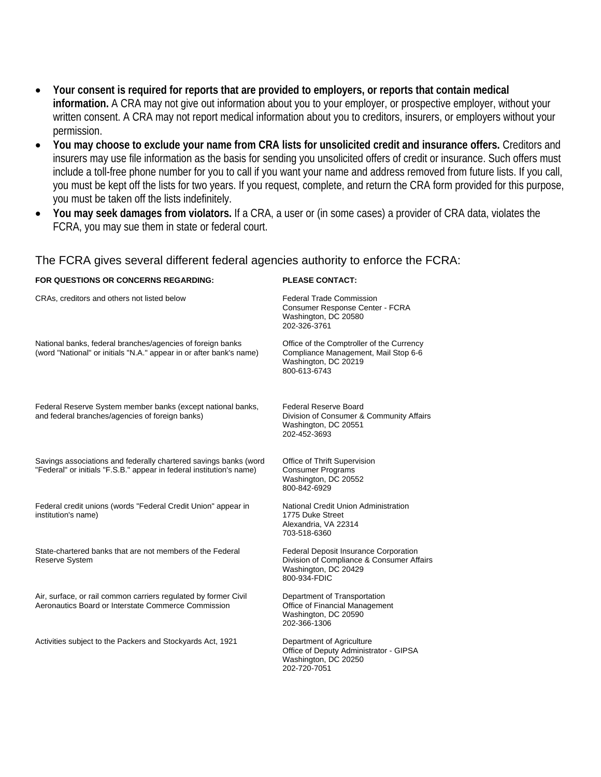- **Your consent is required for reports that are provided to employers, or reports that contain medical information.** A CRA may not give out information about you to your employer, or prospective employer, without your written consent. A CRA may not report medical information about you to creditors, insurers, or employers without your permission.
- **You may choose to exclude your name from CRA lists for unsolicited credit and insurance offers.** Creditors and insurers may use file information as the basis for sending you unsolicited offers of credit or insurance. Such offers must include a toll-free phone number for you to call if you want your name and address removed from future lists. If you call, you must be kept off the lists for two years. If you request, complete, and return the CRA form provided for this purpose, you must be taken off the lists indefinitely.
- **You may seek damages from violators.** If a CRA, a user or (in some cases) a provider of CRA data, violates the FCRA, you may sue them in state or federal court.

#### The FCRA gives several different federal agencies authority to enforce the FCRA:

| FOR QUESTIONS OR CONCERNS REGARDING:                                                                                                     | <b>PLEASE CONTACT:</b>                                                                                                     |
|------------------------------------------------------------------------------------------------------------------------------------------|----------------------------------------------------------------------------------------------------------------------------|
| CRAs, creditors and others not listed below                                                                                              | <b>Federal Trade Commission</b><br>Consumer Response Center - FCRA<br>Washington, DC 20580<br>202-326-3761                 |
| National banks, federal branches/agencies of foreign banks<br>(word "National" or initials "N.A." appear in or after bank's name)        | Office of the Comptroller of the Currency<br>Compliance Management, Mail Stop 6-6<br>Washington, DC 20219<br>800-613-6743  |
| Federal Reserve System member banks (except national banks,<br>and federal branches/agencies of foreign banks)                           | <b>Federal Reserve Board</b><br>Division of Consumer & Community Affairs<br>Washington, DC 20551<br>202-452-3693           |
| Savings associations and federally chartered savings banks (word<br>"Federal" or initials "F.S.B." appear in federal institution's name) | Office of Thrift Supervision<br><b>Consumer Programs</b><br>Washington, DC 20552<br>800-842-6929                           |
| Federal credit unions (words "Federal Credit Union" appear in<br>institution's name)                                                     | National Credit Union Administration<br>1775 Duke Street<br>Alexandria, VA 22314<br>703-518-6360                           |
| State-chartered banks that are not members of the Federal<br>Reserve System                                                              | Federal Deposit Insurance Corporation<br>Division of Compliance & Consumer Affairs<br>Washington, DC 20429<br>800-934-FDIC |
| Air, surface, or rail common carriers regulated by former Civil<br>Aeronautics Board or Interstate Commerce Commission                   | Department of Transportation<br>Office of Financial Management<br>Washington, DC 20590<br>202-366-1306                     |
| Activities subject to the Packers and Stockyards Act, 1921                                                                               | Department of Agriculture<br>Office of Deputy Administrator - GIPSA<br>Washington, DC 20250<br>202-720-7051                |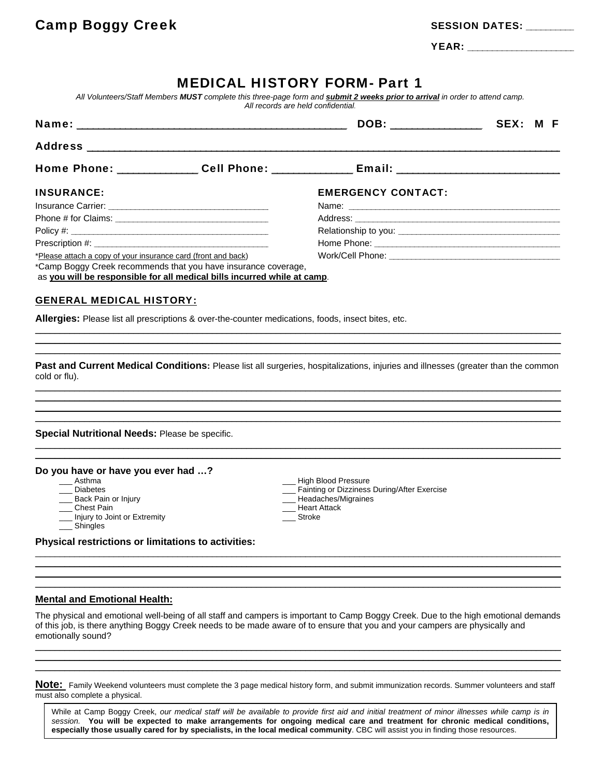emotionally sound?

YEAR: \_\_\_\_\_\_\_\_\_\_\_\_\_\_\_\_\_\_\_\_\_\_\_

### MEDICAL HISTORY FORM- Part 1

*All Volunteers/Staff Members MUST complete this three-page form and submit 2 weeks prior to arrival in order to attend camp.* 

*All records are held confidential.*

|                                                                                                                                                    | DOB: _______________                        | SEX: M F |
|----------------------------------------------------------------------------------------------------------------------------------------------------|---------------------------------------------|----------|
|                                                                                                                                                    |                                             |          |
| Home Phone: _______________Cell Phone: ________________Email: ___________________                                                                  |                                             |          |
| <b>INSURANCE:</b>                                                                                                                                  | <b>EMERGENCY CONTACT:</b>                   |          |
|                                                                                                                                                    |                                             |          |
|                                                                                                                                                    |                                             |          |
|                                                                                                                                                    |                                             |          |
|                                                                                                                                                    |                                             |          |
| *Please attach a copy of your insurance card (front and back)                                                                                      |                                             |          |
| *Camp Boggy Creek recommends that you have insurance coverage,<br>as you will be responsible for all medical bills incurred while at camp.         |                                             |          |
|                                                                                                                                                    |                                             |          |
| <b>GENERAL MEDICAL HISTORY:</b>                                                                                                                    |                                             |          |
| Allergies: Please list all prescriptions & over-the-counter medications, foods, insect bites, etc.                                                 |                                             |          |
|                                                                                                                                                    |                                             |          |
|                                                                                                                                                    |                                             |          |
|                                                                                                                                                    |                                             |          |
| Past and Current Medical Conditions: Please list all surgeries, hospitalizations, injuries and illnesses (greater than the common<br>cold or flu). |                                             |          |
| Special Nutritional Needs: Please be specific.                                                                                                     |                                             |          |
| Do you have or have you ever had ?                                                                                                                 |                                             |          |
| Asthma                                                                                                                                             | ___ High Blood Pressure                     |          |
| <b>Diabetes</b>                                                                                                                                    | Fainting or Dizziness During/After Exercise |          |
| Back Pain or Injury                                                                                                                                | Headaches/Migraines                         |          |
| Chest Pain<br>Injury to Joint or Extremity                                                                                                         | <b>Heart Attack</b><br>Stroke               |          |
| __ Shingles                                                                                                                                        |                                             |          |
|                                                                                                                                                    |                                             |          |
| Physical restrictions or limitations to activities:                                                                                                |                                             |          |
|                                                                                                                                                    |                                             |          |
|                                                                                                                                                    |                                             |          |
|                                                                                                                                                    |                                             |          |
| <b>Mental and Emotional Health:</b>                                                                                                                |                                             |          |
| The physical and emotional well-being of all staff and campers is important to Camp Boggy Creek. Due to the high emotional demands                 |                                             |          |
| of this job, is there anything Boggy Creek needs to be made aware of to ensure that you and your campers are physically and                        |                                             |          |

**Note:** Family Weekend volunteers must complete the 3 page medical history form, and submit immunization records. Summer volunteers and staff must also complete a physical.

\_\_\_\_\_\_\_\_\_\_\_\_\_\_\_\_\_\_\_\_\_\_\_\_\_\_\_\_\_\_\_\_\_\_\_\_\_\_\_\_\_\_\_\_\_\_\_\_\_\_\_\_\_\_\_\_\_\_\_\_\_\_\_\_\_\_\_\_\_\_\_\_\_\_\_\_\_\_\_\_\_\_\_\_\_\_\_\_\_\_\_\_\_\_\_\_\_\_\_\_\_\_\_\_\_\_\_  $\_$  ,  $\_$  ,  $\_$  ,  $\_$  ,  $\_$  ,  $\_$  ,  $\_$  ,  $\_$  ,  $\_$  ,  $\_$  ,  $\_$  ,  $\_$  ,  $\_$  ,  $\_$  ,  $\_$  ,  $\_$  ,  $\_$  ,  $\_$  ,  $\_$  ,  $\_$  ,  $\_$  ,  $\_$  ,  $\_$  ,  $\_$  ,  $\_$  ,  $\_$  ,  $\_$  ,  $\_$  ,  $\_$  ,  $\_$  ,  $\_$  ,  $\_$  ,  $\_$  ,  $\_$  ,  $\_$  ,  $\_$  ,  $\_$  ,  $\_$  ,  $\_$  ,  $\_$  ,  $\_$  ,  $\_$  ,  $\_$  ,  $\_$  ,  $\_$  ,  $\_$  ,  $\_$  ,  $\_$  ,  $\_$  ,  $\_$  ,  $\_$  ,  $\_$  ,  $\_$  ,  $\_$  ,  $\_$  ,  $\_$  ,  $\_$  ,  $\_$  ,  $\_$  ,  $\_$  ,  $\_$  ,  $\_$  ,  $\_$  ,  $\_$  ,  $\_$  ,  $\_$  ,  $\_$  ,  $\_$  ,  $\_$  ,  $\_$  ,  $\_$  ,  $\_$  ,  $\_$  ,  $\_$  ,

 While at Camp Boggy Creek, *our medical staff will be available to provide first aid and initial treatment of minor illnesses while camp is in session.* **You will be expected to make arrangements for ongoing medical care and treatment for chronic medical conditions, especially those usually cared for by specialists, in the local medical community**. CBC will assist you in finding those resources.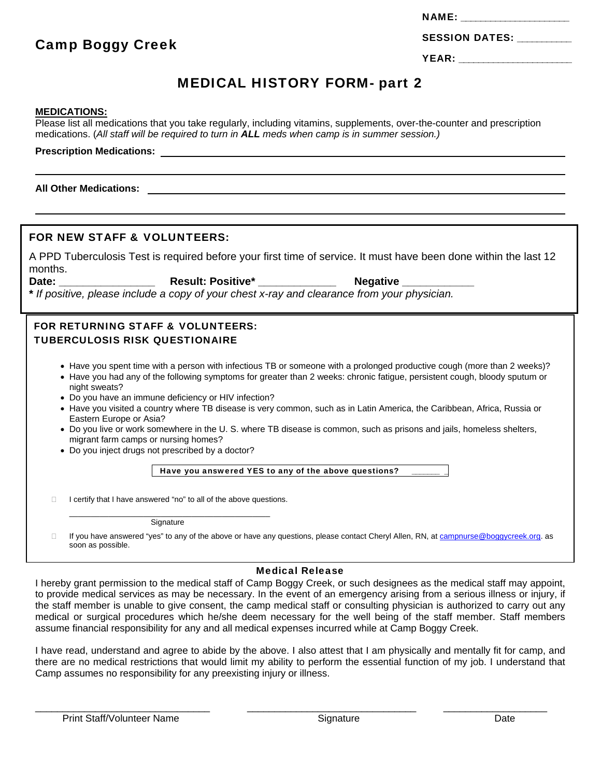NAME: \_\_\_\_\_\_\_\_\_\_\_\_\_\_\_\_\_\_\_\_\_\_

SESSION DATES: \_\_\_\_\_\_\_\_\_\_\_ Camp Boggy Creek

|  |  | <b>SESSIUN DAT</b> |  |
|--|--|--------------------|--|
|  |  |                    |  |

YEAR: \_\_\_\_\_\_\_\_\_\_\_\_\_\_\_\_\_\_\_\_\_\_\_

## MEDICAL HISTORY FORM- part 2

#### **MEDICATIONS:**

Please list all medications that you take regularly, including vitamins, supplements, over-the-counter and prescription medications. (*All staff will be required to turn in ALL meds when camp is in summer session.)* 

**Prescription Medications:** 

**All Other Medications:** 

A PPD Tuberculosis Test is required before your first time of service. It must have been done within the last 12 months.

Date: The Constant Positive\* **Result: Positive\* Negative** 

**\*** *If positive, please include a copy of your chest x-ray and clearance from your physician.*

#### FOR RETURNING STAFF & VOLUNTEERS: TUBERCULOSIS RISK QUESTIONAIRE

- Have you spent time with a person with infectious TB or someone with a prolonged productive cough (more than 2 weeks)?
- Have you had any of the following symptoms for greater than 2 weeks: chronic fatigue, persistent cough, bloody sputum or night sweats?
- Do you have an immune deficiency or HIV infection?
- Have you visited a country where TB disease is very common, such as in Latin America, the Caribbean, Africa, Russia or Eastern Europe or Asia?
- Do you live or work somewhere in the U. S. where TB disease is common, such as prisons and jails, homeless shelters, migrant farm camps or nursing homes?
- Do you inject drugs not prescribed by a doctor?

Have you answered YES to any of the above questions?

 $\Box$  I certify that I have answered "no" to all of the above questions.

 $\frac{1}{\sqrt{2}}$  ,  $\frac{1}{\sqrt{2}}$  ,  $\frac{1}{\sqrt{2}}$  ,  $\frac{1}{\sqrt{2}}$  ,  $\frac{1}{\sqrt{2}}$  ,  $\frac{1}{\sqrt{2}}$  ,  $\frac{1}{\sqrt{2}}$  ,  $\frac{1}{\sqrt{2}}$  ,  $\frac{1}{\sqrt{2}}$  ,  $\frac{1}{\sqrt{2}}$  ,  $\frac{1}{\sqrt{2}}$  ,  $\frac{1}{\sqrt{2}}$  ,  $\frac{1}{\sqrt{2}}$  ,  $\frac{1}{\sqrt{2}}$  ,  $\frac{1}{\sqrt{2}}$ **Signature** 

□ If you have answered "yes" to any of the above or have any questions, please contact Cheryl Allen, RN, at campnurse@boggycreek.org. as soon as possible.

#### Medical Release

I hereby grant permission to the medical staff of Camp Boggy Creek, or such designees as the medical staff may appoint, to provide medical services as may be necessary. In the event of an emergency arising from a serious illness or injury, if the staff member is unable to give consent, the camp medical staff or consulting physician is authorized to carry out any medical or surgical procedures which he/she deem necessary for the well being of the staff member. Staff members assume financial responsibility for any and all medical expenses incurred while at Camp Boggy Creek.

I have read, understand and agree to abide by the above. I also attest that I am physically and mentally fit for camp, and there are no medical restrictions that would limit my ability to perform the essential function of my job. I understand that Camp assumes no responsibility for any preexisting injury or illness.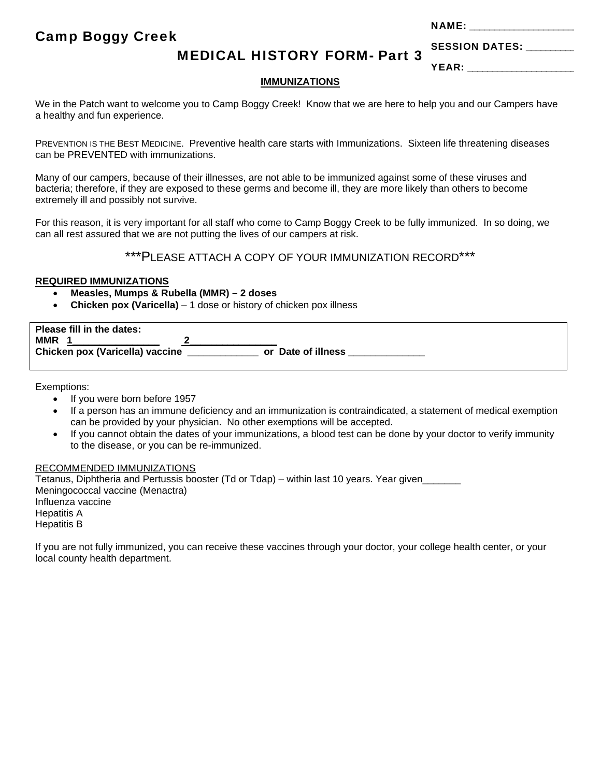# Camp Boggy Creek Session DATES: All the SESSION DATES:

NAME: \_\_\_\_\_\_\_\_\_\_\_\_\_\_\_\_\_\_\_\_\_\_

## MEDICAL HISTORY FORM- Part 3

#### YEAR: \_\_\_\_\_\_\_\_\_\_\_\_\_\_\_\_\_\_\_\_\_\_\_\_

#### **IMMUNIZATIONS**

We in the Patch want to welcome you to Camp Boggy Creek! Know that we are here to help you and our Campers have a healthy and fun experience.

PREVENTION IS THE BEST MEDICINE. Preventive health care starts with Immunizations. Sixteen life threatening diseases can be PREVENTED with immunizations.

Many of our campers, because of their illnesses, are not able to be immunized against some of these viruses and bacteria; therefore, if they are exposed to these germs and become ill, they are more likely than others to become extremely ill and possibly not survive.

For this reason, it is very important for all staff who come to Camp Boggy Creek to be fully immunized. In so doing, we can all rest assured that we are not putting the lives of our campers at risk.

## \*\*\*PLEASE ATTACH A COPY OF YOUR IMMUNIZATION RECORD\*\*\*

#### **REQUIRED IMMUNIZATIONS**

- **Measles, Mumps & Rubella (MMR) 2 doses**
- **Chicken pox (Varicella)** 1 dose or history of chicken pox illness

**Please fill in the dates: MMR 1\_\_\_\_\_\_\_\_\_\_\_\_\_\_\_\_ 2\_\_\_\_\_\_\_\_\_\_\_\_\_\_\_\_ Chicken pox (Varicella) vaccine \_\_\_\_\_\_\_\_\_\_\_\_\_ or Date of illness \_\_\_\_\_\_\_\_\_\_\_\_\_\_**

Exemptions:

- If you were born before 1957
- If a person has an immune deficiency and an immunization is contraindicated, a statement of medical exemption can be provided by your physician. No other exemptions will be accepted.
- If you cannot obtain the dates of your immunizations, a blood test can be done by your doctor to verify immunity to the disease, or you can be re-immunized.

#### RECOMMENDED IMMUNIZATIONS

Tetanus, Diphtheria and Pertussis booster (Td or Tdap) – within last 10 years. Year given\_\_\_\_\_\_\_ Meningococcal vaccine (Menactra) Influenza vaccine Hepatitis A Hepatitis B

If you are not fully immunized, you can receive these vaccines through your doctor, your college health center, or your local county health department.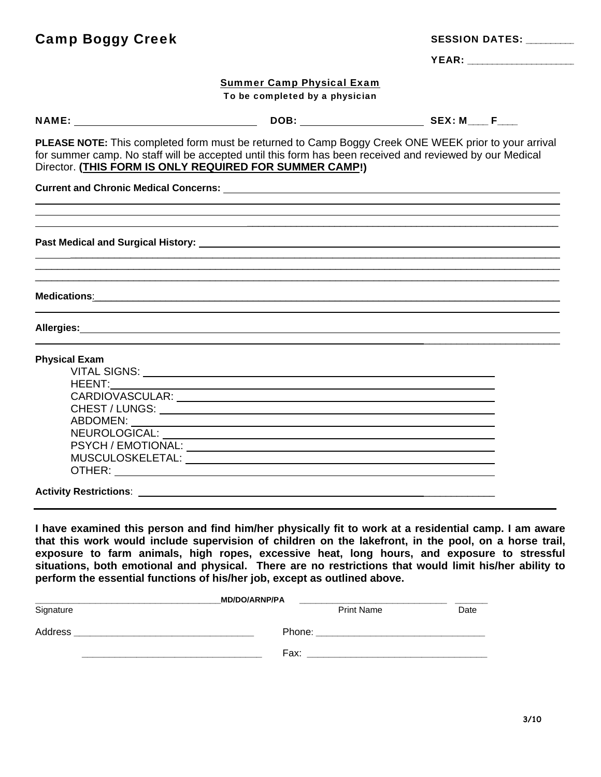| <b>Camp Boggy Creek</b>                  |                                                                                                   | <b>SESSION DATES:</b>                                                                                                                                                                                                                                                                                                                                                                                                   |
|------------------------------------------|---------------------------------------------------------------------------------------------------|-------------------------------------------------------------------------------------------------------------------------------------------------------------------------------------------------------------------------------------------------------------------------------------------------------------------------------------------------------------------------------------------------------------------------|
|                                          |                                                                                                   | <b>YEAR: ______________________</b>                                                                                                                                                                                                                                                                                                                                                                                     |
|                                          | <b>Summer Camp Physical Exam</b><br>To be completed by a physician                                |                                                                                                                                                                                                                                                                                                                                                                                                                         |
|                                          |                                                                                                   |                                                                                                                                                                                                                                                                                                                                                                                                                         |
|                                          | Director. (THIS FORM IS ONLY REQUIRED FOR SUMMER CAMP!)                                           | PLEASE NOTE: This completed form must be returned to Camp Boggy Creek ONE WEEK prior to your arrival<br>for summer camp. No staff will be accepted until this form has been received and reviewed by our Medical                                                                                                                                                                                                        |
|                                          |                                                                                                   |                                                                                                                                                                                                                                                                                                                                                                                                                         |
|                                          |                                                                                                   |                                                                                                                                                                                                                                                                                                                                                                                                                         |
|                                          |                                                                                                   |                                                                                                                                                                                                                                                                                                                                                                                                                         |
|                                          |                                                                                                   |                                                                                                                                                                                                                                                                                                                                                                                                                         |
| <b>Physical Exam</b><br>HEENT:<br>OTHER: |                                                                                                   |                                                                                                                                                                                                                                                                                                                                                                                                                         |
|                                          |                                                                                                   |                                                                                                                                                                                                                                                                                                                                                                                                                         |
|                                          | perform the essential functions of his/her job, except as outlined above.<br><b>MD/DO/ARNP/PA</b> | I have examined this person and find him/her physically fit to work at a residential camp. I am aware<br>that this work would include supervision of children on the lakefront, in the pool, on a horse trail,<br>exposure to farm animals, high ropes, excessive heat, long hours, and exposure to stressful<br>situations, both emotional and physical. There are no restrictions that would limit his/her ability to |
| Signature                                | <b>Print Name</b>                                                                                 | Date                                                                                                                                                                                                                                                                                                                                                                                                                    |
| Address                                  | Phone:                                                                                            |                                                                                                                                                                                                                                                                                                                                                                                                                         |

**\_\_\_\_\_\_\_\_\_\_\_\_\_\_\_\_\_\_\_\_\_\_\_\_\_\_\_\_\_\_\_\_\_** Fax: **\_\_\_\_\_\_\_\_\_\_\_\_\_\_\_\_\_\_\_\_\_\_\_\_\_\_\_\_\_\_\_\_\_**